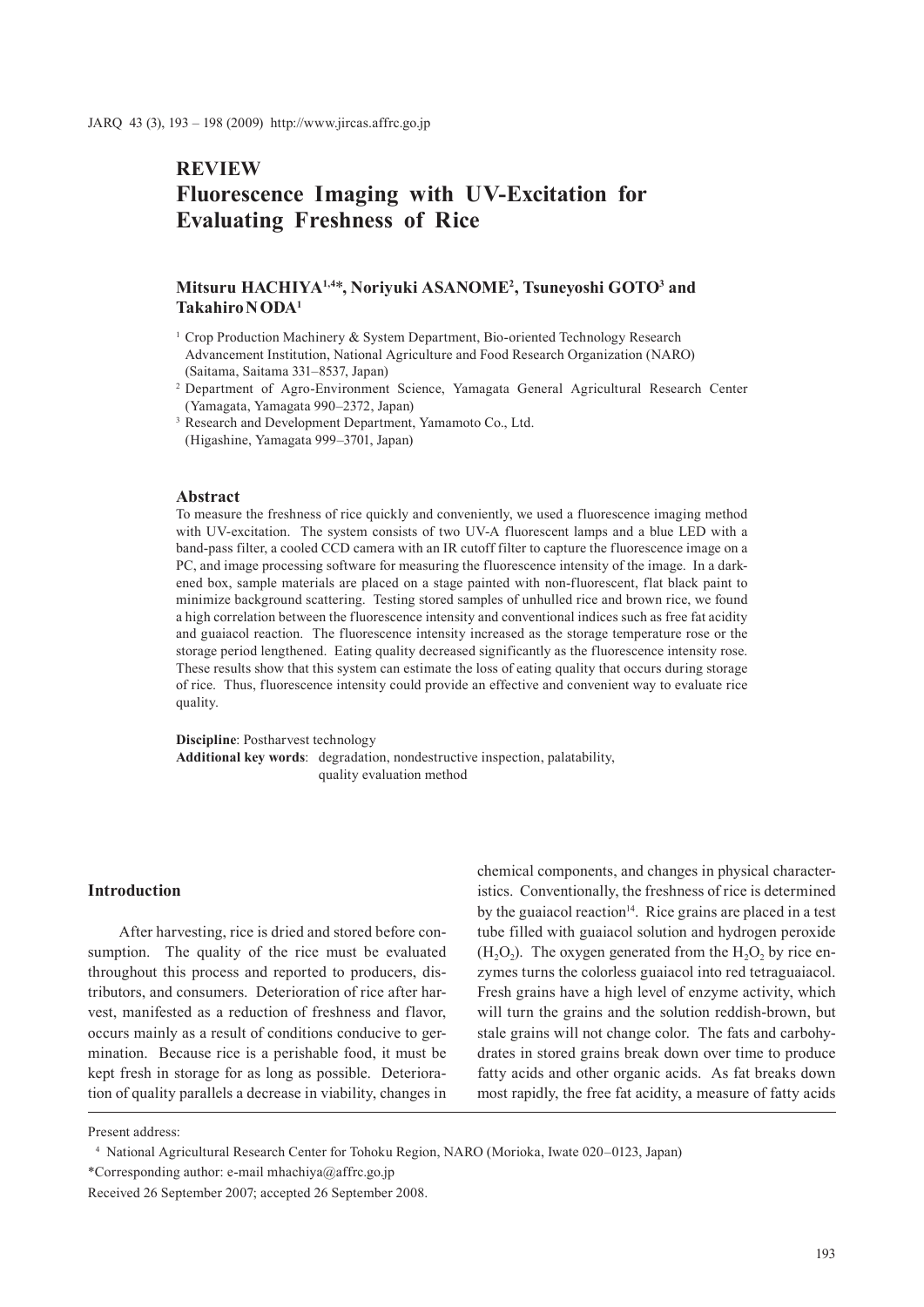# **REVIEW Fluorescence Imaging with UV-Excitation for Evaluating Freshness of Rice**

## **Mitsuru HACHIYA1,4**\***, Noriyuki ASANOME2 , Tsuneyoshi GOTO3 and Takahiro NODA1**

- <sup>1</sup> Crop Production Machinery & System Department, Bio-oriented Technology Research Advancement Institution, National Agriculture and Food Research Organization (NARO) (Saitama, Saitama 331–8537, Japan)
- 2 Department of Agro-Environment Science, Yamagata General Agricultural Research Center (Yamagata, Yamagata 990–2372, Japan)
- <sup>3</sup> Research and Development Department, Yamamoto Co., Ltd. (Higashine, Yamagata 999–3701, Japan)

#### **Abstract**

To measure the freshness of rice quickly and conveniently, we used a fluorescence imaging method with UV-excitation. The system consists of two UV-A fluorescent lamps and a blue LED with a band-pass filter, a cooled CCD camera with an IR cutoff filter to capture the fluorescence image on a PC, and image processing software for measuring the fluorescence intensity of the image. In a darkened box, sample materials are placed on a stage painted with non-fluorescent, flat black paint to minimize background scattering. Testing stored samples of unhulled rice and brown rice, we found a high correlation between the fluorescence intensity and conventional indices such as free fat acidity and guaiacol reaction. The fluorescence intensity increased as the storage temperature rose or the storage period lengthened. Eating quality decreased significantly as the fluorescence intensity rose. These results show that this system can estimate the loss of eating quality that occurs during storage of rice. Thus, fluorescence intensity could provide an effective and convenient way to evaluate rice quality.

**Discipline**: Postharvest technology **Additional key words**: degradation, nondestructive inspection, palatability, quality evaluation method

## **Introduction**

After harvesting, rice is dried and stored before consumption. The quality of the rice must be evaluated throughout this process and reported to producers, distributors, and consumers. Deterioration of rice after harvest, manifested as a reduction of freshness and flavor, occurs mainly as a result of conditions conducive to germination. Because rice is a perishable food, it must be kept fresh in storage for as long as possible. Deterioration of quality parallels a decrease in viability, changes in

chemical components, and changes in physical characteristics. Conventionally, the freshness of rice is determined by the guaiacol reaction $14$ . Rice grains are placed in a test tube filled with guaiacol solution and hydrogen peroxide  $(H<sub>2</sub>O<sub>2</sub>)$ . The oxygen generated from the  $H<sub>2</sub>O<sub>2</sub>$  by rice enzymes turns the colorless guaiacol into red tetraguaiacol. Fresh grains have a high level of enzyme activity, which will turn the grains and the solution reddish-brown, but stale grains will not change color. The fats and carbohydrates in stored grains break down over time to produce fatty acids and other organic acids. As fat breaks down most rapidly, the free fat acidity, a measure of fatty acids

Present address:

<sup>4</sup> National Agricultural Research Center for Tohoku Region, NARO (Morioka, Iwate 020–0123, Japan)

<sup>\*</sup>Corresponding author: e-mail mhachiya@affrc.go.jp

Received 26 September 2007; accepted 26 September 2008.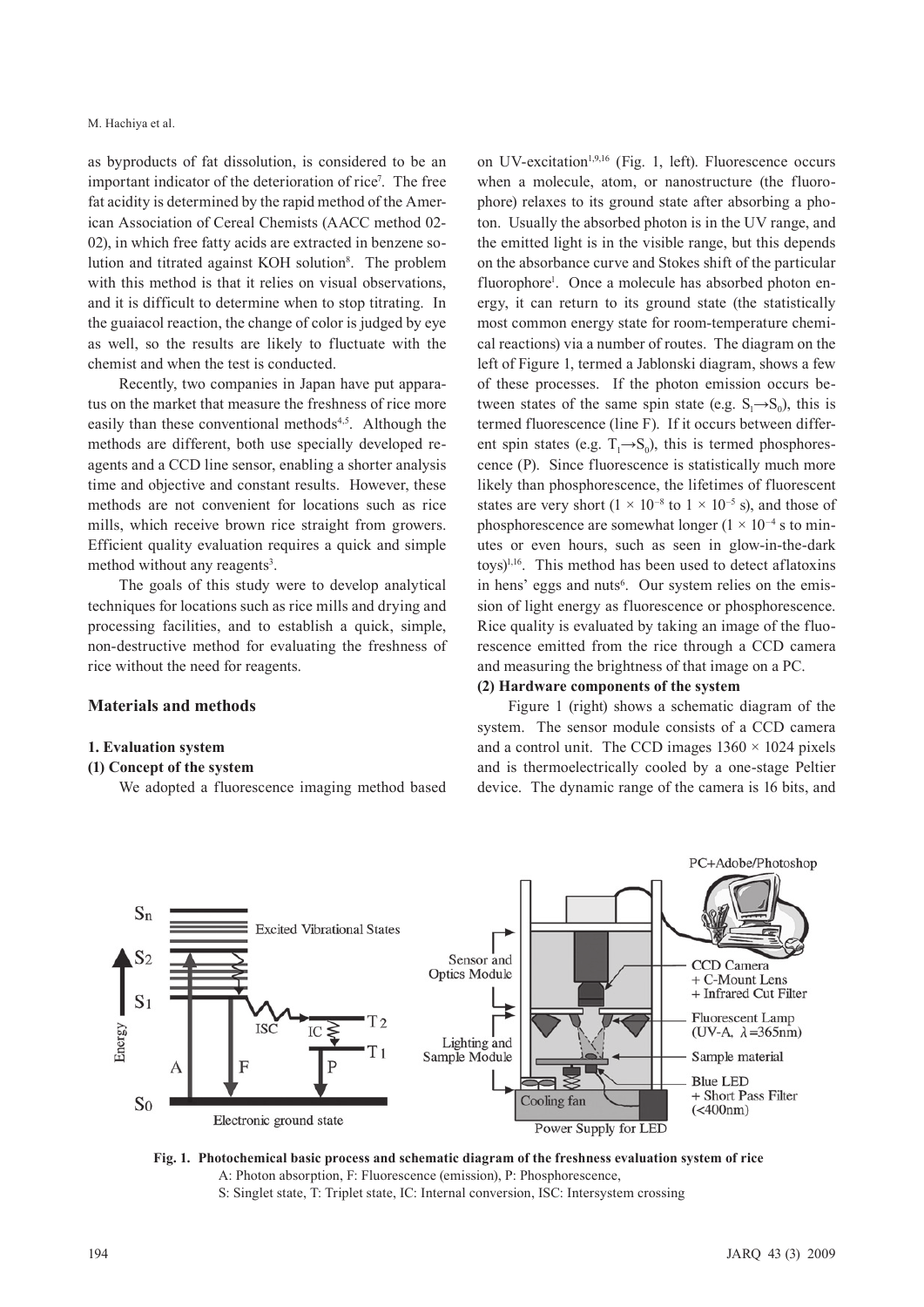#### M. Hachiya et al.

as byproducts of fat dissolution, is considered to be an important indicator of the deterioration of rice<sup>7</sup>. The free fat acidity is determined by the rapid method of the American Association of Cereal Chemists (AACC method 02- 02), in which free fatty acids are extracted in benzene solution and titrated against KOH solution<sup>8</sup>. The problem with this method is that it relies on visual observations. and it is difficult to determine when to stop titrating. In the guaiacol reaction, the change of color is judged by eye as well, so the results are likely to fluctuate with the chemist and when the test is conducted.

Recently, two companies in Japan have put apparatus on the market that measure the freshness of rice more easily than these conventional methods $4,5$ . Although the methods are different, both use specially developed reagents and a CCD line sensor, enabling a shorter analysis time and objective and constant results. However, these methods are not convenient for locations such as rice mills, which receive brown rice straight from growers. Efficient quality evaluation requires a quick and simple method without any reagents<sup>3</sup>.

The goals of this study were to develop analytical techniques for locations such as rice mills and drying and processing facilities, and to establish a quick, simple, non-destructive method for evaluating the freshness of rice without the need for reagents.

## **Materials and methods**

#### **1. Evaluation system**

#### **(1) Concept of the system**

We adopted a fluorescence imaging method based

on UV-excitation<sup>1,9,16</sup> (Fig. 1, left). Fluorescence occurs when a molecule, atom, or nanostructure (the fluorophore) relaxes to its ground state after absorbing a photon. Usually the absorbed photon is in the UV range, and the emitted light is in the visible range, but this depends on the absorbance curve and Stokes shift of the particular fluorophore<sup>1</sup>. Once a molecule has absorbed photon energy, it can return to its ground state (the statistically most common energy state for room-temperature chemical reactions) via a number of routes. The diagram on the left of Figure 1, termed a Jablonski diagram, shows a few of these processes. If the photon emission occurs between states of the same spin state (e.g.  $S_1 \rightarrow S_0$ ), this is termed fluorescence (line F). If it occurs between different spin states (e.g.  $T_1 \rightarrow S_0$ ), this is termed phosphorescence (P). Since fluorescence is statistically much more likely than phosphorescence, the lifetimes of fluorescent states are very short  $(1 \times 10^{-8}$  to  $1 \times 10^{-5}$  s), and those of phosphorescence are somewhat longer  $(1 \times 10^{-4}$  s to minutes or even hours, such as seen in glow-in-the-dark toys)1,16. This method has been used to detect aflatoxins in hens' eggs and nuts<sup>6</sup>. Our system relies on the emission of light energy as fluorescence or phosphorescence. Rice quality is evaluated by taking an image of the fluorescence emitted from the rice through a CCD camera and measuring the brightness of that image on a PC.

## **(2) Hardware components of the system**

Figure 1 (right) shows a schematic diagram of the system. The sensor module consists of a CCD camera and a control unit. The CCD images  $1360 \times 1024$  pixels and is thermoelectrically cooled by a one-stage Peltier device. The dynamic range of the camera is 16 bits, and



**Fig. 1. Photochemical basic process and schematic diagram of the freshness evaluation system of rice** A: Photon absorption, F: Fluorescence (emission), P: Phosphorescence, S: Singlet state, T: Triplet state, IC: Internal conversion, ISC: Intersystem crossing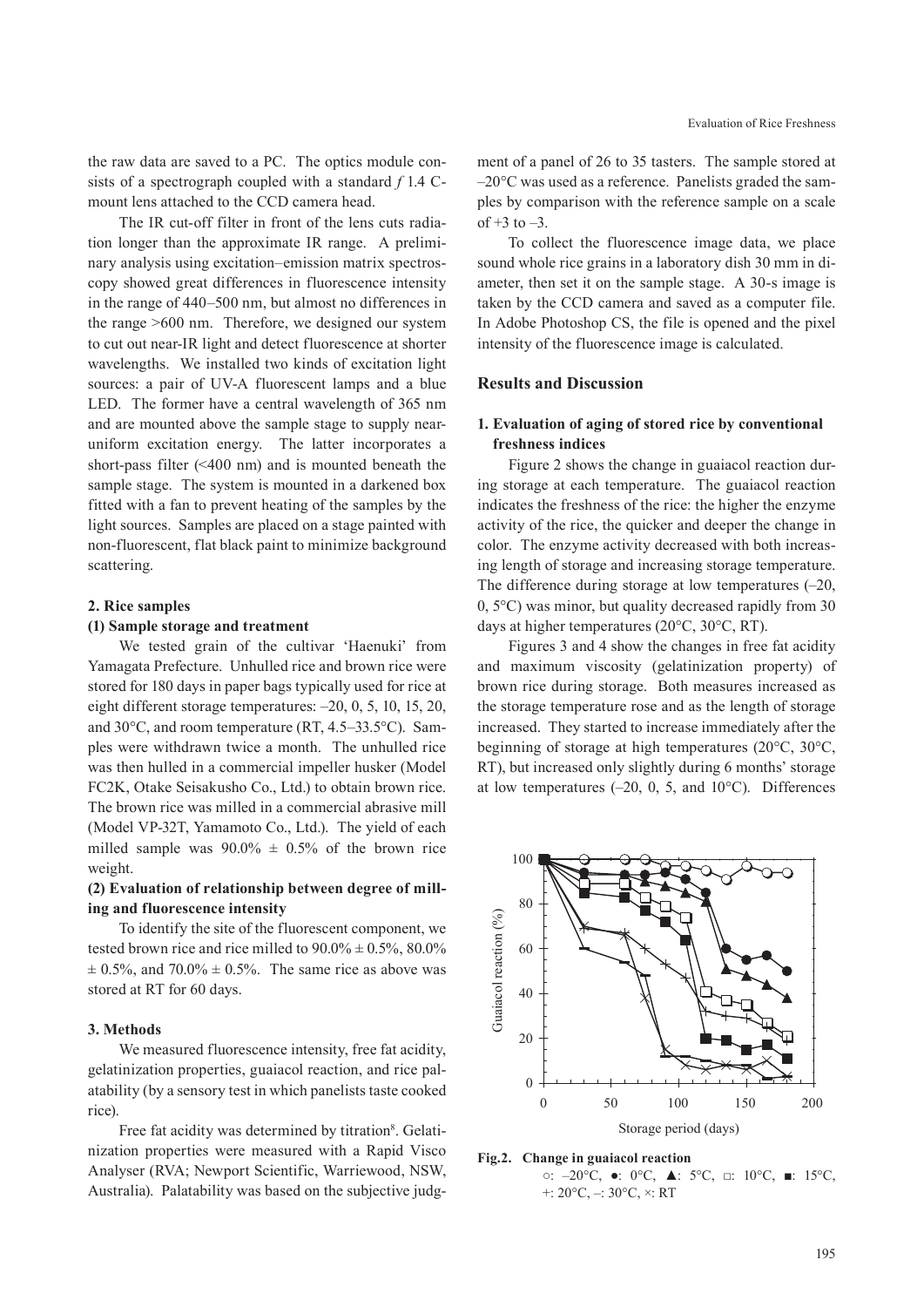the raw data are saved to a PC. The optics module consists of a spectrograph coupled with a standard *f* 1.4 Cmount lens attached to the CCD camera head.

The IR cut-off filter in front of the lens cuts radiation longer than the approximate IR range. A preliminary analysis using excitation–emission matrix spectroscopy showed great differences in fluorescence intensity in the range of 440–500 nm, but almost no differences in the range >600 nm. Therefore, we designed our system to cut out near-IR light and detect fluorescence at shorter wavelengths. We installed two kinds of excitation light sources: a pair of UV-A fluorescent lamps and a blue LED. The former have a central wavelength of 365 nm and are mounted above the sample stage to supply nearuniform excitation energy. The latter incorporates a short-pass filter  $(\leq 400 \text{ nm})$  and is mounted beneath the sample stage. The system is mounted in a darkened box fitted with a fan to prevent heating of the samples by the light sources. Samples are placed on a stage painted with non-fluorescent, flat black paint to minimize background scattering.

## **2. Rice samples**

#### **(1) Sample storage and treatment**

We tested grain of the cultivar 'Haenuki' from Yamagata Prefecture. Unhulled rice and brown rice were stored for 180 days in paper bags typically used for rice at eight different storage temperatures: –20, 0, 5, 10, 15, 20, and 30°C, and room temperature (RT, 4.5–33.5°C). Samples were withdrawn twice a month. The unhulled rice was then hulled in a commercial impeller husker (Model FC2K, Otake Seisakusho Co., Ltd.) to obtain brown rice. The brown rice was milled in a commercial abrasive mill (Model VP-32T, Yamamoto Co., Ltd.). The yield of each milled sample was  $90.0\% \pm 0.5\%$  of the brown rice weight.

## **(2) Evaluation of relationship between degree of milling and fluorescence intensity**

To identify the site of the fluorescent component, we tested brown rice and rice milled to  $90.0\% \pm 0.5\%$ , 80.0%  $\pm 0.5$ %, and 70.0%  $\pm 0.5$ %. The same rice as above was stored at RT for 60 days.

## **3. Methods**

We measured fluorescence intensity, free fat acidity, gelatinization properties, guaiacol reaction, and rice palatability (by a sensory test in which panelists taste cooked rice).

Free fat acidity was determined by titration<sup>8</sup>. Gelatinization properties were measured with a Rapid Visco Analyser (RVA; Newport Scientific, Warriewood, NSW, Australia). Palatability was based on the subjective judg-

ment of a panel of 26 to 35 tasters. The sample stored at –20°C was used as a reference. Panelists graded the samples by comparison with the reference sample on a scale of  $+3$  to  $-3$ .

To collect the fluorescence image data, we place sound whole rice grains in a laboratory dish 30 mm in diameter, then set it on the sample stage. A 30-s image is taken by the CCD camera and saved as a computer file. In Adobe Photoshop CS, the file is opened and the pixel intensity of the fluorescence image is calculated.

## **Results and Discussion**

## **1. Evaluation of aging of stored rice by conventional freshness indices**

Figure 2 shows the change in guaiacol reaction during storage at each temperature. The guaiacol reaction indicates the freshness of the rice: the higher the enzyme activity of the rice, the quicker and deeper the change in color. The enzyme activity decreased with both increasing length of storage and increasing storage temperature. The difference during storage at low temperatures (–20, 0, 5°C) was minor, but quality decreased rapidly from 30 days at higher temperatures (20°C, 30°C, RT).

Figures 3 and 4 show the changes in free fat acidity and maximum viscosity (gelatinization property) of brown rice during storage. Both measures increased as the storage temperature rose and as the length of storage increased. They started to increase immediately after the beginning of storage at high temperatures (20°C, 30°C, RT), but increased only slightly during 6 months' storage at low temperatures  $(-20, 0, 5, \text{ and } 10^{\circ}\text{C})$ . Differences



**Fig.2. Change in guaiacol reaction**

 ○: –20°C, ●: 0°C, ▲: 5°C, □: 10°C, ■: 15°C, +: 20°C, –: 30°C, ×: RT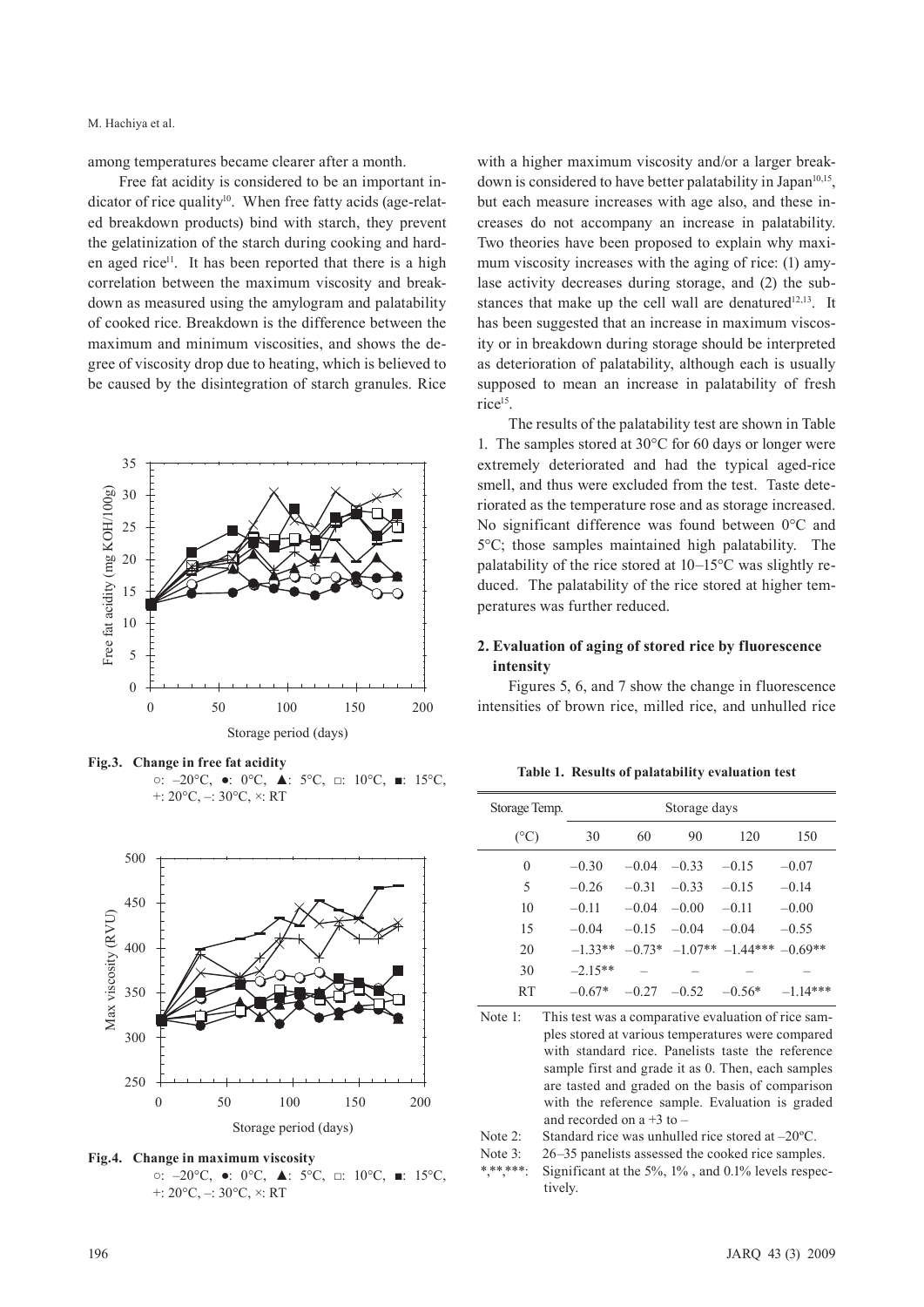among temperatures became clearer after a month.

Free fat acidity is considered to be an important indicator of rice quality<sup>10</sup>. When free fatty acids (age-related breakdown products) bind with starch, they prevent the gelatinization of the starch during cooking and harden aged rice<sup>11</sup>. It has been reported that there is a high correlation between the maximum viscosity and breakdown as measured using the amylogram and palatability of cooked rice. Breakdown is the difference between the maximum and minimum viscosities, and shows the degree of viscosity drop due to heating, which is believed to be caused by the disintegration of starch granules. Rice



**Fig.3. Change in free fat acidity** ○: –20°C, ●: 0°C, ▲: 5°C, □: 10°C, ■: 15°C, +: 20°C, –: 30°C, ×: RT



**Fig.4. Change in maximum viscosity** ○: –20°C, ●: 0°C, ▲: 5°C, □: 10°C, ■: 15°C, +: 20°C, –: 30°C, ×: RT

with a higher maximum viscosity and/or a larger breakdown is considered to have better palatability in Japan<sup>10,15</sup>, but each measure increases with age also, and these increases do not accompany an increase in palatability. Two theories have been proposed to explain why maximum viscosity increases with the aging of rice: (1) amylase activity decreases during storage, and (2) the substances that make up the cell wall are denatured<sup>12,13</sup>. It has been suggested that an increase in maximum viscosity or in breakdown during storage should be interpreted as deterioration of palatability, although each is usually supposed to mean an increase in palatability of fresh rice<sup>15</sup>.

The results of the palatability test are shown in Table 1. The samples stored at 30°C for 60 days or longer were extremely deteriorated and had the typical aged-rice smell, and thus were excluded from the test. Taste deteriorated as the temperature rose and as storage increased. No significant difference was found between 0°C and 5°C; those samples maintained high palatability. The palatability of the rice stored at 10–15°C was slightly reduced. The palatability of the rice stored at higher temperatures was further reduced.

## **2. Evaluation of aging of stored rice by fluorescence intensity**

Figures 5, 6, and 7 show the change in fluorescence intensities of brown rice, milled rice, and unhulled rice

**Table 1. Results of palatability evaluation test**

| Storage Temp. | Storage days |         |         |                                         |            |
|---------------|--------------|---------|---------|-----------------------------------------|------------|
| $(^\circ C)$  | 30           | 60      | 90      | 120                                     | 150        |
| $\theta$      | $-0.30$      | $-0.04$ | $-0.33$ | $-0.15$                                 | $-0.07$    |
| 5             | $-0.26$      | $-0.31$ | $-0.33$ | $-0.15$                                 | $-0.14$    |
| 10            | $-0.11$      | $-0.04$ | $-0.00$ | $-0.11$                                 | $-0.00$    |
| 15            | $-0.04$      | $-0.15$ | $-0.04$ | $-0.04$                                 | $-0.55$    |
| 20            | $-1.33**$    |         |         | $-0.73*$ $-1.07**$ $-1.44***$ $-0.69**$ |            |
| 30            | $-2.15**$    |         |         |                                         |            |
| RT            | $-0.67*$     | $-0.27$ | $-0.52$ | $-0.56*$                                | $-1.14***$ |
|               |              |         |         |                                         |            |

Note 1: This test was a comparative evaluation of rice samples stored at various temperatures were compared with standard rice. Panelists taste the reference sample first and grade it as 0. Then, each samples are tasted and graded on the basis of comparison with the reference sample. Evaluation is graded and recorded on a +3 to –

- Note 2: Standard rice was unhulled rice stored at –20°C.
- Note 3: 26–35 panelists assessed the cooked rice samples.
- \*,\*\*\*\*\*; Significant at the 5%, 1%, and 0.1% levels respectively.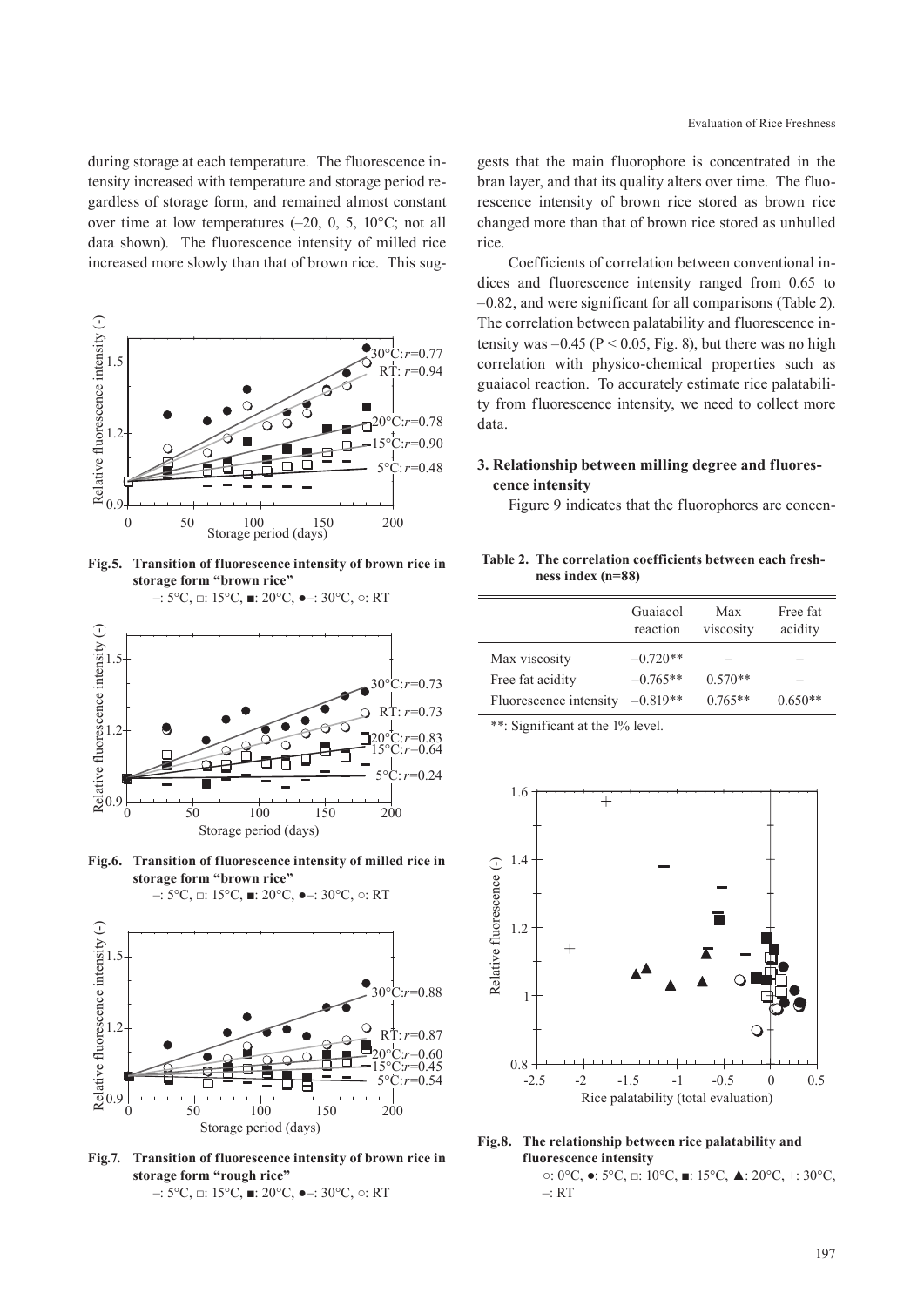during storage at each temperature. The fluorescence intensity increased with temperature and storage period regardless of storage form, and remained almost constant over time at low temperatures (–20, 0, 5, 10°C; not all data shown). The fluorescence intensity of milled rice increased more slowly than that of brown rice. This sug-



**Fig.5. Transition of fluorescence intensity of brown rice in storage form "brown rice"**

 –: 5°C, □: 15°C, ■: 20°C, ●–: 30°C, ○: RT



**Fig.6. Transition of fluorescence intensity of milled rice in storage form "brown rice"**





**Fig.7. Transition of fluorescence intensity of brown rice in storage form "rough rice"** –: 5°C, □: 15°C, ■: 20°C, ●–: 30°C, ○: RT

gests that the main fluorophore is concentrated in the bran layer, and that its quality alters over time. The fluorescence intensity of brown rice stored as brown rice changed more than that of brown rice stored as unhulled rice.

Coefficients of correlation between conventional indices and fluorescence intensity ranged from 0.65 to –0.82, and were significant for all comparisons (Table 2). The correlation between palatability and fluorescence intensity was  $-0.45$  (P < 0.05, Fig. 8), but there was no high correlation with physico-chemical properties such as guaiacol reaction. To accurately estimate rice palatability from fluorescence intensity, we need to collect more data.

## **3. Relationship between milling degree and fluorescence intensity**

Figure 9 indicates that the fluorophores are concen-

**Table 2. The correlation coefficients between each freshness index (n=88)**

|                        | Guaiacol<br>reaction | Max<br>viscosity | Free fat<br>acidity |
|------------------------|----------------------|------------------|---------------------|
| Max viscosity          | $-0.720**$           |                  |                     |
| Free fat acidity       | $-0.765**$           | $0.570**$        |                     |
| Fluorescence intensity | $-0.819**$           | $0.765**$        | $0.650**$           |

\*\*: Significant at the 1% level.



**Fig.8. The relationship between rice palatability and fluorescence intensity**

 ○: 0°C, ●: 5°C, □: 10°C, ■: 15°C, ▲: 20°C, +: 30°C, –: RT